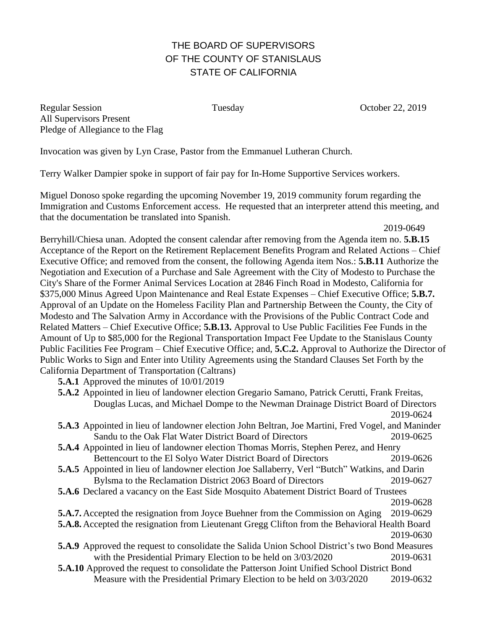## THE BOARD OF SUPERVISORS OF THE COUNTY OF STANISLAUS STATE OF CALIFORNIA

Regular Session Tuesday Corober 22, 2019 All Supervisors Present Pledge of Allegiance to the Flag

Invocation was given by Lyn Crase, Pastor from the Emmanuel Lutheran Church.

Terry Walker Dampier spoke in support of fair pay for In-Home Supportive Services workers.

Miguel Donoso spoke regarding the upcoming November 19, 2019 community forum regarding the Immigration and Customs Enforcement access. He requested that an interpreter attend this meeting, and that the documentation be translated into Spanish.

2019-0649

Berryhill/Chiesa unan. Adopted the consent calendar after removing from the Agenda item no. **5.B.15** Acceptance of the Report on the Retirement Replacement Benefits Program and Related Actions – Chief Executive Office; and removed from the consent, the following Agenda item Nos.: **5.B.11** Authorize the Negotiation and Execution of a Purchase and Sale Agreement with the City of Modesto to Purchase the City's Share of the Former Animal Services Location at 2846 Finch Road in Modesto, California for \$375,000 Minus Agreed Upon Maintenance and Real Estate Expenses – Chief Executive Office; **5.B.7.** Approval of an Update on the Homeless Facility Plan and Partnership Between the County, the City of Modesto and The Salvation Army in Accordance with the Provisions of the Public Contract Code and Related Matters – Chief Executive Office; **5.B.13.** Approval to Use Public Facilities Fee Funds in the Amount of Up to \$85,000 for the Regional Transportation Impact Fee Update to the Stanislaus County Public Facilities Fee Program – Chief Executive Office; and, **5.C.2.** Approval to Authorize the Director of Public Works to Sign and Enter into Utility Agreements using the Standard Clauses Set Forth by the California Department of Transportation (Caltrans)

**5.A.1** Approved the minutes of 10/01/2019

- **5.A.3** Appointed in lieu of landowner election John Beltran, Joe Martini, Fred Vogel, and Maninder Sandu to the Oak Flat Water District Board of Directors 2019-0625
- **5.A.4** Appointed in lieu of landowner election Thomas Morris, Stephen Perez, and Henry Bettencourt to the El Solyo Water District Board of Directors 2019-0626
- **5.A.5** Appointed in lieu of landowner election Joe Sallaberry, Verl "Butch" Watkins, and Darin Bylsma to the Reclamation District 2063 Board of Directors 2019-0627 **5.A.6** Declared a vacancy on the East Side Mosquito Abatement District Board of Trustees

## **5.A.7.** Accepted the resignation from Joyce Buehner from the Commission on Aging 2019-0629

- **5.A.8.** Accepted the resignation from Lieutenant Gregg Clifton from the Behavioral Health Board 2019**-**0630
- **5.A.9** Approved the request to consolidate the Salida Union School District's two Bond Measures with the Presidential Primary Election to be held on  $3/03/2020$  2019-0631
- **5.A.10** Approved the request to consolidate the Patterson Joint Unified School District Bond Measure with the Presidential Primary Election to be held on 3/03/2020 2019-0632

**<sup>5.</sup>A.2** Appointed in lieu of landowner election Gregario Samano, Patrick Cerutti, Frank Freitas, Douglas Lucas, and Michael Dompe to the Newman Drainage District Board of Directors 2019-0624

<sup>2019-0628</sup>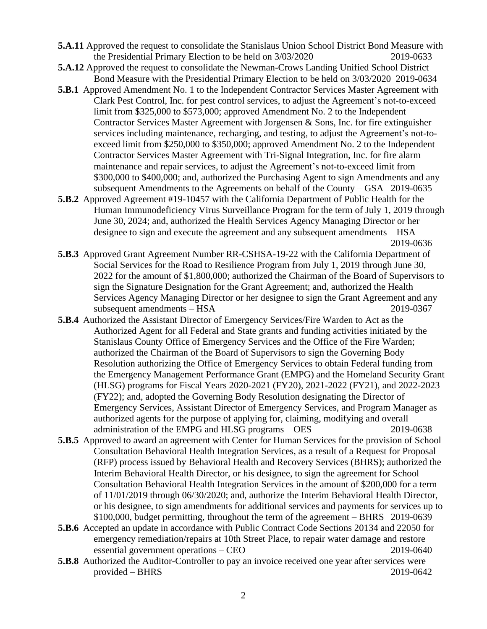- **5.A.11** Approved the request to consolidate the Stanislaus Union School District Bond Measure with the Presidential Primary Election to be held on 3/03/2020 2019-0633
- **5.A.12** Approved the request to consolidate the Newman-Crows Landing Unified School District Bond Measure with the Presidential Primary Election to be held on 3/03/2020 2019-0634
- **5.B.1** Approved Amendment No. 1 to the Independent Contractor Services Master Agreement with Clark Pest Control, Inc. for pest control services, to adjust the Agreement's not-to-exceed limit from \$325,000 to \$573,000; approved Amendment No. 2 to the Independent Contractor Services Master Agreement with Jorgensen & Sons, Inc. for fire extinguisher services including maintenance, recharging, and testing, to adjust the Agreement's not-toexceed limit from \$250,000 to \$350,000; approved Amendment No. 2 to the Independent Contractor Services Master Agreement with Tri-Signal Integration, Inc. for fire alarm maintenance and repair services, to adjust the Agreement's not-to-exceed limit from \$300,000 to \$400,000; and, authorized the Purchasing Agent to sign Amendments and any subsequent Amendments to the Agreements on behalf of the County – GSA 2019-0635
- **5.B.2** Approved Agreement #19-10457 with the California Department of Public Health for the Human Immunodeficiency Virus Surveillance Program for the term of July 1, 2019 through June 30, 2024; and, authorized the Health Services Agency Managing Director or her designee to sign and execute the agreement and any subsequent amendments – HSA 2019-0636
- **5.B.3** Approved Grant Agreement Number RR-CSHSA-19-22 with the California Department of Social Services for the Road to Resilience Program from July 1, 2019 through June 30, 2022 for the amount of \$1,800,000; authorized the Chairman of the Board of Supervisors to sign the Signature Designation for the Grant Agreement; and, authorized the Health Services Agency Managing Director or her designee to sign the Grant Agreement and any subsequent amendments – HSA 2019-0367
- **5.B.4** Authorized the Assistant Director of Emergency Services/Fire Warden to Act as the Authorized Agent for all Federal and State grants and funding activities initiated by the Stanislaus County Office of Emergency Services and the Office of the Fire Warden; authorized the Chairman of the Board of Supervisors to sign the Governing Body Resolution authorizing the Office of Emergency Services to obtain Federal funding from the Emergency Management Performance Grant (EMPG) and the Homeland Security Grant (HLSG) programs for Fiscal Years 2020-2021 (FY20), 2021-2022 (FY21), and 2022-2023 (FY22); and, adopted the Governing Body Resolution designating the Director of Emergency Services, Assistant Director of Emergency Services, and Program Manager as authorized agents for the purpose of applying for, claiming, modifying and overall administration of the EMPG and HLSG programs – OES 2019-0638
- **5.B.5** Approved to award an agreement with Center for Human Services for the provision of School Consultation Behavioral Health Integration Services, as a result of a Request for Proposal (RFP) process issued by Behavioral Health and Recovery Services (BHRS); authorized the Interim Behavioral Health Director, or his designee, to sign the agreement for School Consultation Behavioral Health Integration Services in the amount of \$200,000 for a term of 11/01/2019 through 06/30/2020; and, authorize the Interim Behavioral Health Director, or his designee, to sign amendments for additional services and payments for services up to \$100,000, budget permitting, throughout the term of the agreement – BHRS 2019-0639
- **5.B.6** Accepted an update in accordance with Public Contract Code Sections 20134 and 22050 for emergency remediation/repairs at 10th Street Place, to repair water damage and restore essential government operations – CEO 2019-0640
- **5.B.8** Authorized the Auditor-Controller to pay an invoice received one year after services were provided – BHRS 2019-0642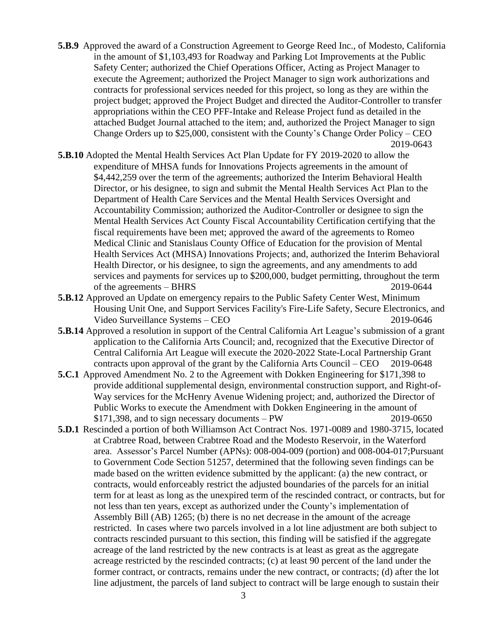- **5.B.9** Approved the award of a Construction Agreement to George Reed Inc., of Modesto, California in the amount of \$1,103,493 for Roadway and Parking Lot Improvements at the Public Safety Center; authorized the Chief Operations Officer, Acting as Project Manager to execute the Agreement; authorized the Project Manager to sign work authorizations and contracts for professional services needed for this project, so long as they are within the project budget; approved the Project Budget and directed the Auditor-Controller to transfer appropriations within the CEO PFF-Intake and Release Project fund as detailed in the attached Budget Journal attached to the item; and, authorized the Project Manager to sign Change Orders up to \$25,000, consistent with the County's Change Order Policy – CEO 2019-0643
- **5.B.10** Adopted the Mental Health Services Act Plan Update for FY 2019-2020 to allow the expenditure of MHSA funds for Innovations Projects agreements in the amount of \$4,442,259 over the term of the agreements; authorized the Interim Behavioral Health Director, or his designee, to sign and submit the Mental Health Services Act Plan to the Department of Health Care Services and the Mental Health Services Oversight and Accountability Commission; authorized the Auditor-Controller or designee to sign the Mental Health Services Act County Fiscal Accountability Certification certifying that the fiscal requirements have been met; approved the award of the agreements to Romeo Medical Clinic and Stanislaus County Office of Education for the provision of Mental Health Services Act (MHSA) Innovations Projects; and, authorized the Interim Behavioral Health Director, or his designee, to sign the agreements, and any amendments to add services and payments for services up to \$200,000, budget permitting, throughout the term of the agreements – BHRS 2019-0644
- **5.B.12** Approved an Update on emergency repairs to the Public Safety Center West, Minimum Housing Unit One, and Support Services Facility's Fire-Life Safety, Secure Electronics, and Video Surveillance Systems – CEO 2019-0646
- **5.B.14** Approved a resolution in support of the Central California Art League's submission of a grant application to the California Arts Council; and, recognized that the Executive Director of Central California Art League will execute the 2020-2022 State-Local Partnership Grant contracts upon approval of the grant by the California Arts Council – CEO 2019-0648
- **5.C.1** Approved Amendment No. 2 to the Agreement with Dokken Engineering for \$171,398 to provide additional supplemental design, environmental construction support, and Right-of-Way services for the McHenry Avenue Widening project; and, authorized the Director of Public Works to execute the Amendment with Dokken Engineering in the amount of \$171,398, and to sign necessary documents – PW 2019-0650
- **5.D.1** Rescinded a portion of both Williamson Act Contract Nos. 1971-0089 and 1980-3715, located at Crabtree Road, between Crabtree Road and the Modesto Reservoir, in the Waterford area. Assessor's Parcel Number (APNs): 008-004-009 (portion) and 008-004-017;Pursuant to Government Code Section 51257, determined that the following seven findings can be made based on the written evidence submitted by the applicant: (a) the new contract, or contracts, would enforceably restrict the adjusted boundaries of the parcels for an initial term for at least as long as the unexpired term of the rescinded contract, or contracts, but for not less than ten years, except as authorized under the County's implementation of Assembly Bill (AB) 1265; (b) there is no net decrease in the amount of the acreage restricted. In cases where two parcels involved in a lot line adjustment are both subject to contracts rescinded pursuant to this section, this finding will be satisfied if the aggregate acreage of the land restricted by the new contracts is at least as great as the aggregate acreage restricted by the rescinded contracts; (c) at least 90 percent of the land under the former contract, or contracts, remains under the new contract, or contracts; (d) after the lot line adjustment, the parcels of land subject to contract will be large enough to sustain their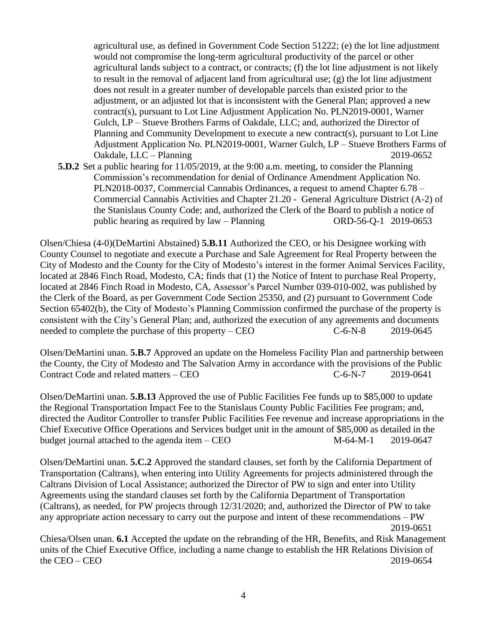agricultural use, as defined in Government Code Section 51222; (e) the lot line adjustment would not compromise the long-term agricultural productivity of the parcel or other agricultural lands subject to a contract, or contracts; (f) the lot line adjustment is not likely to result in the removal of adjacent land from agricultural use; (g) the lot line adjustment does not result in a greater number of developable parcels than existed prior to the adjustment, or an adjusted lot that is inconsistent with the General Plan; approved a new contract(s), pursuant to Lot Line Adjustment Application No. PLN2019-0001, Warner Gulch, LP – Stueve Brothers Farms of Oakdale, LLC; and, authorized the Director of Planning and Community Development to execute a new contract(s), pursuant to Lot Line Adjustment Application No. PLN2019-0001, Warner Gulch, LP – Stueve Brothers Farms of Oakdale, LLC – Planning 2019-0652

**5.D.2** Set a public hearing for 11/05/2019, at the 9:00 a.m. meeting, to consider the Planning Commission's recommendation for denial of Ordinance Amendment Application No. PLN2018-0037, Commercial Cannabis Ordinances, a request to amend Chapter 6.78 – Commercial Cannabis Activities and Chapter 21.20 - General Agriculture District (A-2) of the Stanislaus County Code; and, authorized the Clerk of the Board to publish a notice of public hearing as required by law – Planning ORD-56-Q-1 2019-0653

Olsen/Chiesa (4-0)(DeMartini Abstained) **5.B.11** Authorized the CEO, or his Designee working with County Counsel to negotiate and execute a Purchase and Sale Agreement for Real Property between the City of Modesto and the County for the City of Modesto's interest in the former Animal Services Facility, located at 2846 Finch Road, Modesto, CA; finds that (1) the Notice of Intent to purchase Real Property, located at 2846 Finch Road in Modesto, CA, Assessor's Parcel Number 039-010-002, was published by the Clerk of the Board, as per Government Code Section 25350, and (2) pursuant to Government Code Section 65402(b), the City of Modesto's Planning Commission confirmed the purchase of the property is consistent with the City's General Plan; and, authorized the execution of any agreements and documents needed to complete the purchase of this property – CEO  $C-6-N-8$  2019-0645

Olsen/DeMartini unan. **5.B.7** Approved an update on the Homeless Facility Plan and partnership between the County, the City of Modesto and The Salvation Army in accordance with the provisions of the Public Contract Code and related matters – CEO C-6-N-7 2019-0641

Olsen/DeMartini unan. **5.B.13** Approved the use of Public Facilities Fee funds up to \$85,000 to update the Regional Transportation Impact Fee to the Stanislaus County Public Facilities Fee program; and, directed the Auditor Controller to transfer Public Facilities Fee revenue and increase appropriations in the Chief Executive Office Operations and Services budget unit in the amount of \$85,000 as detailed in the budget journal attached to the agenda item – CEO  $M-64-M-1$  2019-0647

Olsen/DeMartini unan. **5.C.2** Approved the standard clauses, set forth by the California Department of Transportation (Caltrans), when entering into Utility Agreements for projects administered through the Caltrans Division of Local Assistance; authorized the Director of PW to sign and enter into Utility Agreements using the standard clauses set forth by the California Department of Transportation (Caltrans), as needed, for PW projects through 12/31/2020; and, authorized the Director of PW to take any appropriate action necessary to carry out the purpose and intent of these recommendations – PW 2019-0651

Chiesa/Olsen unan. **6.1** Accepted the update on the rebranding of the HR, Benefits, and Risk Management units of the Chief Executive Office, including a name change to establish the HR Relations Division of the CEO – CEO 2019-0654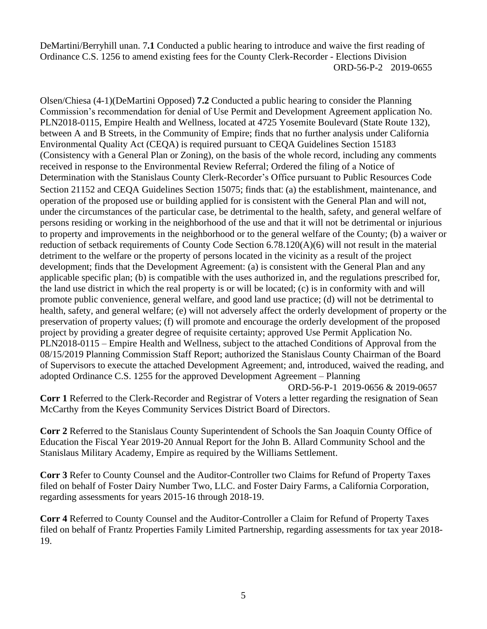DeMartini/Berryhill unan. 7**.1** Conducted a public hearing to introduce and waive the first reading of Ordinance C.S. 1256 to amend existing fees for the County Clerk-Recorder - Elections Division ORD-56-P-2 2019-0655

Olsen/Chiesa (4-1)(DeMartini Opposed) **7.2** Conducted a public hearing to consider the Planning Commission's recommendation for denial of Use Permit and Development Agreement application No. PLN2018-0115, Empire Health and Wellness, located at 4725 Yosemite Boulevard (State Route 132), between A and B Streets, in the Community of Empire; finds that no further analysis under California Environmental Quality Act (CEQA) is required pursuant to CEQA Guidelines Section 15183 (Consistency with a General Plan or Zoning), on the basis of the whole record, including any comments received in response to the Environmental Review Referral; Ordered the filing of a Notice of Determination with the Stanislaus County Clerk-Recorder's Office pursuant to Public Resources Code Section 21152 and CEQA Guidelines Section 15075; finds that: (a) the establishment, maintenance, and operation of the proposed use or building applied for is consistent with the General Plan and will not, under the circumstances of the particular case, be detrimental to the health, safety, and general welfare of persons residing or working in the neighborhood of the use and that it will not be detrimental or injurious to property and improvements in the neighborhood or to the general welfare of the County; (b) a waiver or reduction of setback requirements of County Code Section 6.78.120(A)(6) will not result in the material detriment to the welfare or the property of persons located in the vicinity as a result of the project development; finds that the Development Agreement: (a) is consistent with the General Plan and any applicable specific plan; (b) is compatible with the uses authorized in, and the regulations prescribed for, the land use district in which the real property is or will be located; (c) is in conformity with and will promote public convenience, general welfare, and good land use practice; (d) will not be detrimental to health, safety, and general welfare; (e) will not adversely affect the orderly development of property or the preservation of property values; (f) will promote and encourage the orderly development of the proposed project by providing a greater degree of requisite certainty; approved Use Permit Application No. PLN2018-0115 – Empire Health and Wellness, subject to the attached Conditions of Approval from the 08/15/2019 Planning Commission Staff Report; authorized the Stanislaus County Chairman of the Board of Supervisors to execute the attached Development Agreement; and, introduced, waived the reading, and adopted Ordinance C.S. 1255 for the approved Development Agreement – Planning ORD-56-P-1 2019-0656 & 2019-0657

**Corr 1** Referred to the Clerk-Recorder and Registrar of Voters a letter regarding the resignation of Sean McCarthy from the Keyes Community Services District Board of Directors.

**Corr 2** Referred to the Stanislaus County Superintendent of Schools the San Joaquin County Office of Education the Fiscal Year 2019-20 Annual Report for the John B. Allard Community School and the Stanislaus Military Academy, Empire as required by the Williams Settlement.

**Corr 3** Refer to County Counsel and the Auditor-Controller two Claims for Refund of Property Taxes filed on behalf of Foster Dairy Number Two, LLC. and Foster Dairy Farms, a California Corporation, regarding assessments for years 2015-16 through 2018-19.

**Corr 4** Referred to County Counsel and the Auditor-Controller a Claim for Refund of Property Taxes filed on behalf of Frantz Properties Family Limited Partnership, regarding assessments for tax year 2018- 19.